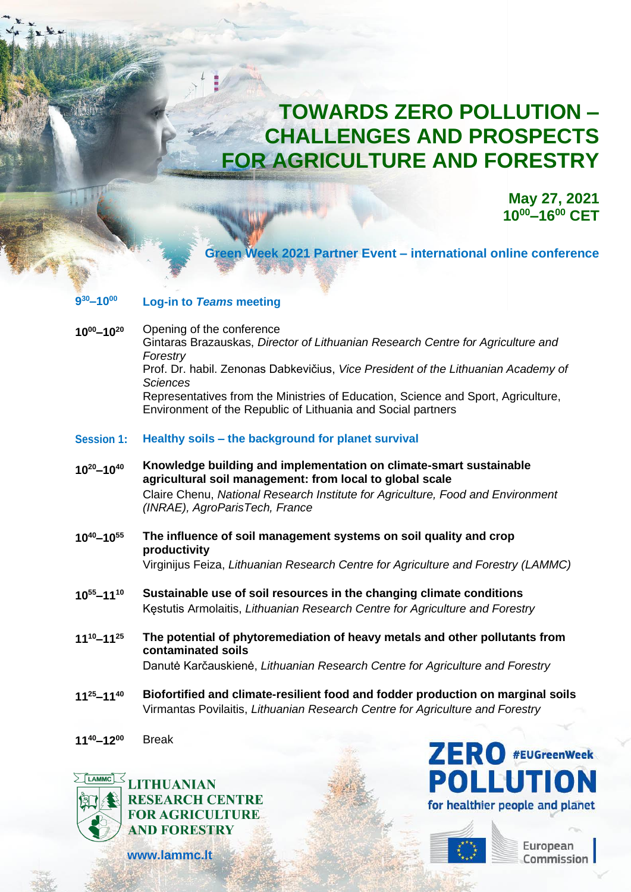**TOWARDS ZERO POLLUTION – CHALLENGES AND PROSPECTS FOR AGRICULTURE AND FORESTRY**

> **May 27, 2021 10<sup>00</sup>–16<sup>00</sup> CET**

## **Green Week 2021 Partner Event – international online conference**

## **9 <sup>30</sup>–10<sup>00</sup> Log-in to** *Teams* **meeting**

- **10<sup>00</sup>–10 20** Opening of the conference Gintaras Brazauskas, *Director of Lithuanian Research Centre for Agriculture and Forestry* Prof. Dr. habil. Zenonas Dabkevičius, *Vice President of the Lithuanian Academy of Sciences* Representatives from the Ministries of Education, Science and Sport, Agriculture, Environment of the Republic of Lithuania and Social partners
- **Session 1: Healthy soils – the background for planet survival**
- **10<sup>20</sup>–10<sup>40</sup> Knowledge building and implementation on climate-smart sustainable agricultural soil management: from local to global scale**  Claire Chenu, *National Research Institute for Agriculture, Food and Environment (INRAE), AgroParisTech, France*
- **10<sup>40</sup>–10 55 The influence of soil management systems on soil quality and crop productivity** Virginijus Feiza, *Lithuanian Research Centre for Agriculture and Forestry (LAMMC)*
- **10 <sup>55</sup>–11<sup>10</sup> Sustainable use of soil resources in the changing climate conditions** Kęstutis Armolaitis, *Lithuanian Research Centre for Agriculture and Forestry*
- **11 <sup>10</sup>–11<sup>25</sup> The potential of phytoremediation of heavy metals and other pollutants from contaminated soils** Danutė Karčauskienė, *Lithuanian Research Centre for Agriculture and Forestry*
- **11<sup>25</sup>–11<sup>40</sup> Biofortified and climate-resilient food and fodder production on marginal soils** Virmantas Povilaitis, *Lithuanian Research Centre for Agriculture and Forestry*
- **11<sup>40</sup>–12<sup>00</sup>** Break



 $\frac{1}{\sqrt{LAMMC}}$  LITHUANIAN **RESEARCH CENTRE FOR AGRICULTURE AND FORESTRY** 

**[www.lammc.lt](http://www.lammc.lt/)**